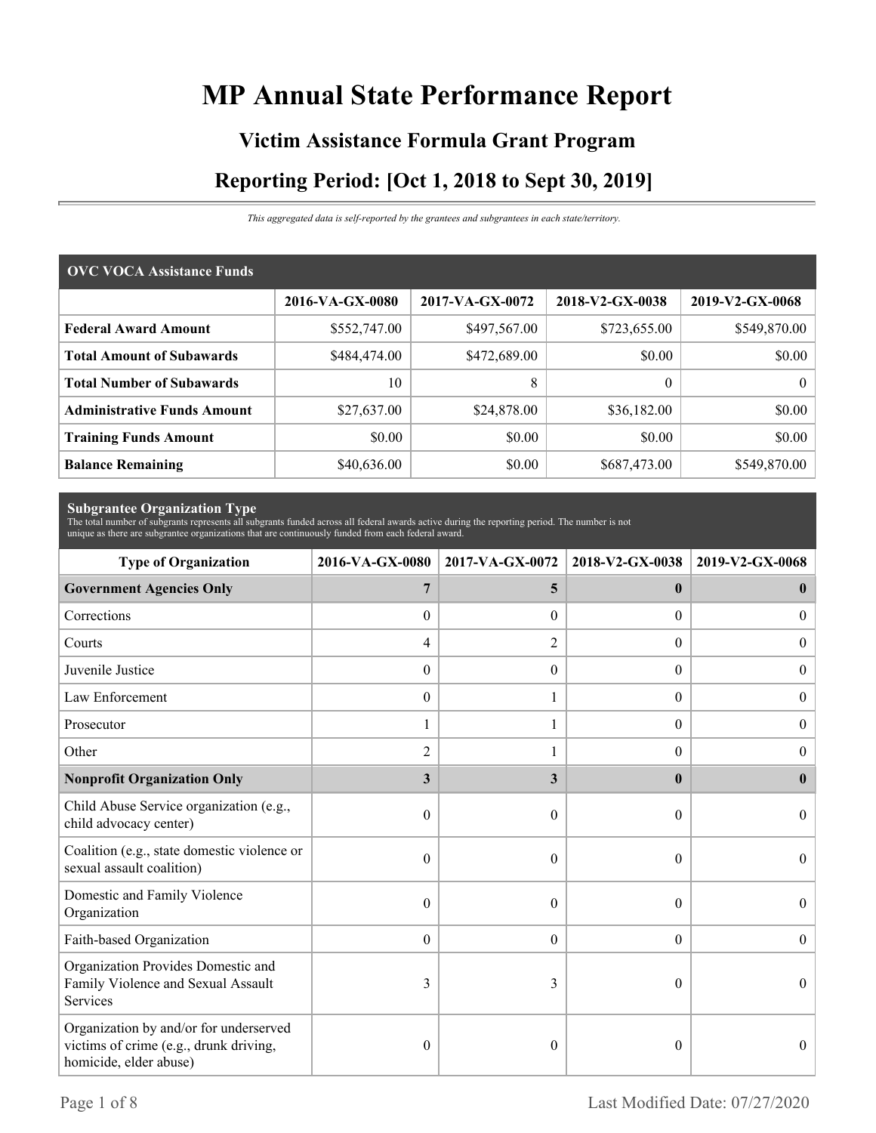# **MP Annual State Performance Report**

# **Victim Assistance Formula Grant Program Reporting Period: [Oct 1, 2018 to Sept 30, 2019]**

*This aggregated data is self-reported by the grantees and subgrantees in each state/territory.*

| <b>OVC VOCA Assistance Funds</b>   |                 |                 |                 |                 |  |  |  |
|------------------------------------|-----------------|-----------------|-----------------|-----------------|--|--|--|
|                                    | 2016-VA-GX-0080 | 2017-VA-GX-0072 | 2018-V2-GX-0038 | 2019-V2-GX-0068 |  |  |  |
| <b>Federal Award Amount</b>        | \$552,747.00    | \$497,567.00    | \$723,655.00    | \$549,870.00    |  |  |  |
| <b>Total Amount of Subawards</b>   | \$484,474.00    | \$472,689.00    | \$0.00          | \$0.00          |  |  |  |
| <b>Total Number of Subawards</b>   | 10              | 8               | $\theta$        | $\theta$        |  |  |  |
| <b>Administrative Funds Amount</b> | \$27,637.00     | \$24,878.00     | \$36,182.00     | \$0.00          |  |  |  |
| <b>Training Funds Amount</b>       | \$0.00          | \$0.00          | \$0.00          | \$0.00          |  |  |  |
| <b>Balance Remaining</b>           | \$40,636.00     | \$0.00          | \$687,473.00    | \$549,870.00    |  |  |  |

**Subgrantee Organization Type** The total number of subgrants represents all subgrants funded across all federal awards active during the reporting period. The number is not unique as there are subgrantee organizations that are continuously funded from each federal award.

| <b>Type of Organization</b>                                                                                | 2016-VA-GX-0080  | 2017-VA-GX-0072  | 2018-V2-GX-0038  | 2019-V2-GX-0068  |
|------------------------------------------------------------------------------------------------------------|------------------|------------------|------------------|------------------|
| <b>Government Agencies Only</b>                                                                            | 7                | 5                | $\bf{0}$         | $\bf{0}$         |
| Corrections                                                                                                | $\boldsymbol{0}$ | $\Omega$         | $\overline{0}$   | $\overline{0}$   |
| Courts                                                                                                     | 4                | $\overline{c}$   | $\overline{0}$   | $\mathbf{0}$     |
| Juvenile Justice                                                                                           | $\mathbf{0}$     | $\boldsymbol{0}$ | $\boldsymbol{0}$ | $\overline{0}$   |
| Law Enforcement                                                                                            | $\mathbf{0}$     |                  | $\theta$         | $\boldsymbol{0}$ |
| Prosecutor                                                                                                 | 1                |                  | $\Omega$         | $\overline{0}$   |
| Other                                                                                                      | 2                |                  | $\theta$         | $\overline{0}$   |
| <b>Nonprofit Organization Only</b>                                                                         | 3                | 3                | $\bf{0}$         | $\mathbf{0}$     |
| Child Abuse Service organization (e.g.,<br>child advocacy center)                                          | 0                | $\theta$         | 0                | $\Omega$         |
| Coalition (e.g., state domestic violence or<br>sexual assault coalition)                                   | $\theta$         | $\Omega$         | $\theta$         | $\Omega$         |
| Domestic and Family Violence<br>Organization                                                               | 0                | $\theta$         | $\theta$         | $\theta$         |
| Faith-based Organization                                                                                   | $\mathbf{0}$     | $\boldsymbol{0}$ | $\boldsymbol{0}$ | $\boldsymbol{0}$ |
| Organization Provides Domestic and<br>Family Violence and Sexual Assault<br>Services                       | 3                | 3                | $\theta$         | $\Omega$         |
| Organization by and/or for underserved<br>victims of crime (e.g., drunk driving,<br>homicide, elder abuse) | $\boldsymbol{0}$ | $\theta$         | $\boldsymbol{0}$ | $\theta$         |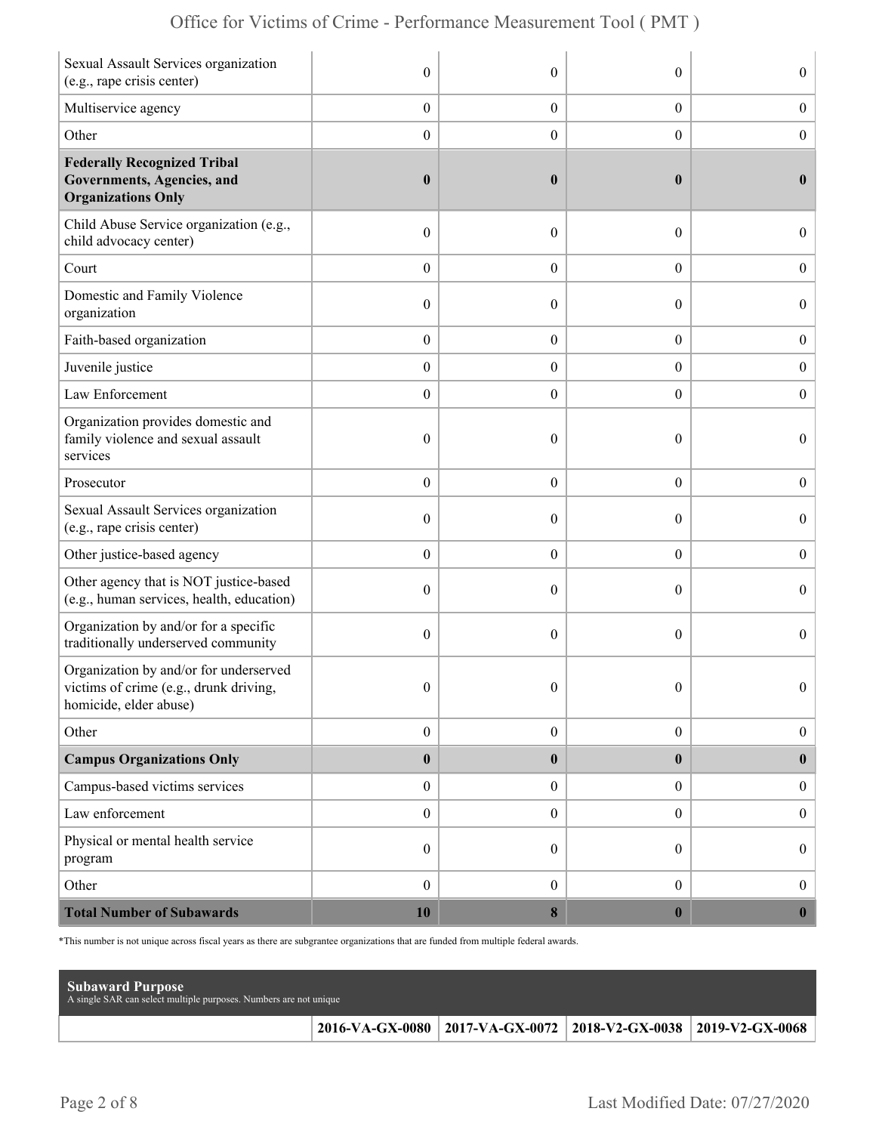| Sexual Assault Services organization<br>(e.g., rape crisis center)                                        | $\mathbf{0}$     | $\theta$         | $\theta$         | $\overline{0}$   |
|-----------------------------------------------------------------------------------------------------------|------------------|------------------|------------------|------------------|
| Multiservice agency                                                                                       | $\boldsymbol{0}$ | $\boldsymbol{0}$ | $\boldsymbol{0}$ | $\boldsymbol{0}$ |
| Other                                                                                                     | $\boldsymbol{0}$ | $\overline{0}$   | $\boldsymbol{0}$ | $\boldsymbol{0}$ |
| <b>Federally Recognized Tribal</b><br>Governments, Agencies, and<br><b>Organizations Only</b>             | $\boldsymbol{0}$ | $\bf{0}$         | $\bf{0}$         | $\bf{0}$         |
| Child Abuse Service organization (e.g.,<br>child advocacy center)                                         | $\boldsymbol{0}$ | $\theta$         | $\boldsymbol{0}$ | $\overline{0}$   |
| Court                                                                                                     | $\boldsymbol{0}$ | $\overline{0}$   | $\overline{0}$   | $\boldsymbol{0}$ |
| Domestic and Family Violence<br>organization                                                              | $\boldsymbol{0}$ | $\theta$         | $\theta$         | $\boldsymbol{0}$ |
| Faith-based organization                                                                                  | $\boldsymbol{0}$ | $\boldsymbol{0}$ | $\boldsymbol{0}$ | $\boldsymbol{0}$ |
| Juvenile justice                                                                                          | $\boldsymbol{0}$ | $\overline{0}$   | $\boldsymbol{0}$ | $\boldsymbol{0}$ |
| Law Enforcement                                                                                           | $\boldsymbol{0}$ | $\theta$         | $\overline{0}$   | $\mathbf{0}$     |
| Organization provides domestic and<br>family violence and sexual assault<br>services                      | $\boldsymbol{0}$ | $\mathbf{0}$     | $\theta$         | $\overline{0}$   |
| Prosecutor                                                                                                | $\boldsymbol{0}$ | $\overline{0}$   | $\overline{0}$   | $\boldsymbol{0}$ |
| Sexual Assault Services organization<br>(e.g., rape crisis center)                                        | $\mathbf{0}$     | $\theta$         | $\theta$         | $\overline{0}$   |
| Other justice-based agency                                                                                | $\boldsymbol{0}$ | $\overline{0}$   | $\boldsymbol{0}$ | $\boldsymbol{0}$ |
| Other agency that is NOT justice-based<br>(e.g., human services, health, education)                       | $\boldsymbol{0}$ | $\overline{0}$   | $\theta$         | $\boldsymbol{0}$ |
| Organization by and/or for a specific<br>traditionally underserved community                              | $\boldsymbol{0}$ | $\theta$         | $\theta$         | $\overline{0}$   |
| Organization by and/or for underserved<br>victims of crime (e.g., drunk driving<br>homicide, elder abuse) | $\mathbf{0}$     | $\mathbf{0}$     | $\theta$         | $\overline{0}$   |
| Other                                                                                                     | $\boldsymbol{0}$ | $\boldsymbol{0}$ | $\boldsymbol{0}$ | $\boldsymbol{0}$ |
| <b>Campus Organizations Only</b>                                                                          | $\pmb{0}$        | $\bf{0}$         | $\bf{0}$         | $\bf{0}$         |
| Campus-based victims services                                                                             | $\boldsymbol{0}$ | $\boldsymbol{0}$ | $\overline{0}$   | $\boldsymbol{0}$ |
| Law enforcement                                                                                           | $\boldsymbol{0}$ | $\boldsymbol{0}$ | $\boldsymbol{0}$ | $\boldsymbol{0}$ |
| Physical or mental health service<br>program                                                              | $\boldsymbol{0}$ | $\overline{0}$   | $\overline{0}$   | $\boldsymbol{0}$ |
| Other                                                                                                     | $\boldsymbol{0}$ | $\overline{0}$   | $\overline{0}$   | $\boldsymbol{0}$ |
| <b>Total Number of Subawards</b>                                                                          | 10               | $\bf{8}$         | $\bf{0}$         | $\boldsymbol{0}$ |

\*This number is not unique across fiscal years as there are subgrantee organizations that are funded from multiple federal awards.

| <b>Subaward Purpose</b><br>A single SAR can select multiple purposes. Numbers are not unique |                                                                 |  |
|----------------------------------------------------------------------------------------------|-----------------------------------------------------------------|--|
|                                                                                              | 2016-VA-GX-0080 2017-VA-GX-0072 2018-V2-GX-0038 2019-V2-GX-0068 |  |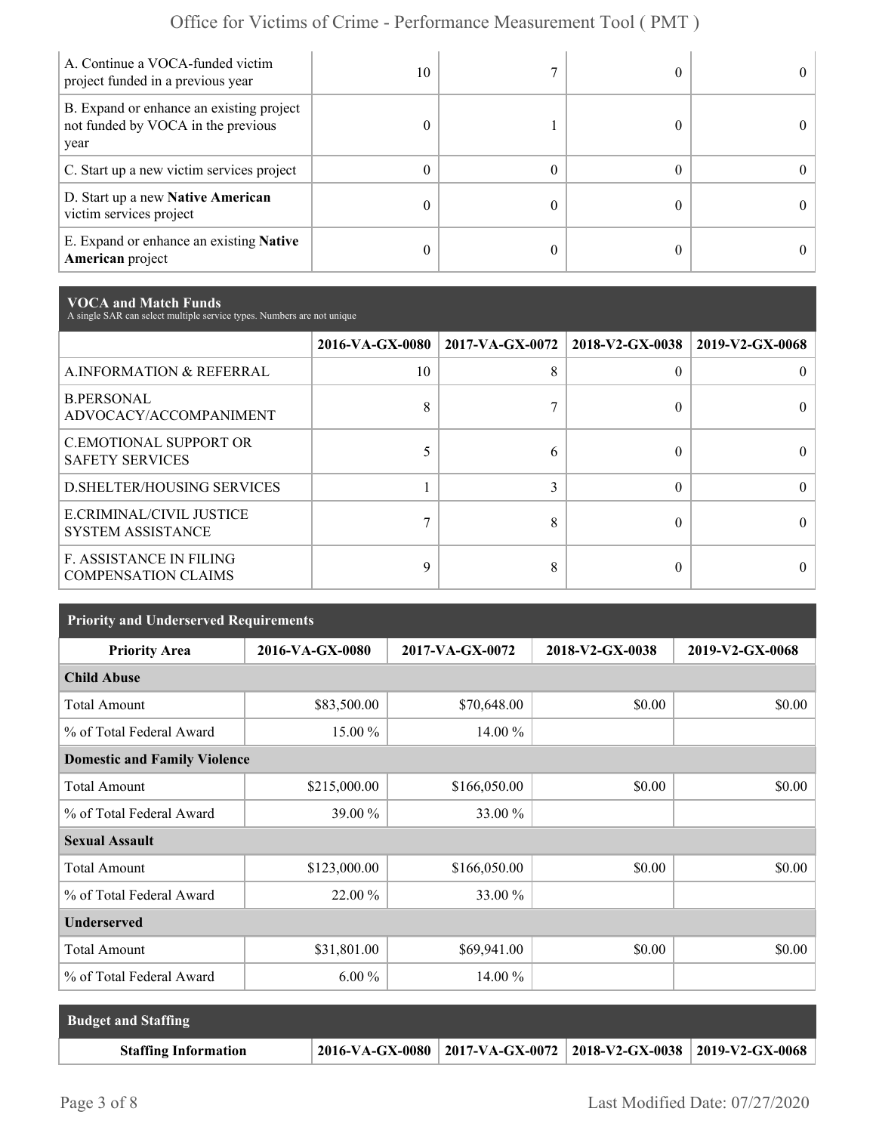| A. Continue a VOCA-funded victim<br>project funded in a previous year                  | 10 |  |  |
|----------------------------------------------------------------------------------------|----|--|--|
| B. Expand or enhance an existing project<br>not funded by VOCA in the previous<br>year | 0  |  |  |
| C. Start up a new victim services project                                              | 0  |  |  |
| D. Start up a new Native American<br>victim services project                           | 0  |  |  |
| E. Expand or enhance an existing <b>Native</b><br>American project                     | 0  |  |  |

**VOCA and Match Funds** A single SAR can select multiple service types. Numbers are not unique

|                                                              | 2016-VA-GX-0080 | $2017$ -VA-GX-0072   2018-V2-GX-0038 |          | 2019-V2-GX-0068 |
|--------------------------------------------------------------|-----------------|--------------------------------------|----------|-----------------|
| A.INFORMATION & REFERRAL                                     | 10              | 8                                    | 0        |                 |
| <b>B.PERSONAL</b><br>ADVOCACY/ACCOMPANIMENT                  | 8               |                                      | 0        |                 |
| <b>C.EMOTIONAL SUPPORT OR</b><br><b>SAFETY SERVICES</b>      |                 | h                                    |          |                 |
| <b>D.SHELTER/HOUSING SERVICES</b>                            |                 |                                      | $\Omega$ |                 |
| E.CRIMINAL/CIVIL JUSTICE<br><b>SYSTEM ASSISTANCE</b>         |                 |                                      |          |                 |
| <b>F. ASSISTANCE IN FILING</b><br><b>COMPENSATION CLAIMS</b> | 9               |                                      | 0        |                 |

| <b>Priority and Underserved Requirements</b> |                 |                 |                 |                 |  |  |
|----------------------------------------------|-----------------|-----------------|-----------------|-----------------|--|--|
| <b>Priority Area</b>                         | 2016-VA-GX-0080 | 2017-VA-GX-0072 | 2018-V2-GX-0038 | 2019-V2-GX-0068 |  |  |
| <b>Child Abuse</b>                           |                 |                 |                 |                 |  |  |
| <b>Total Amount</b>                          | \$83,500.00     | \$70,648.00     | \$0.00          | \$0.00          |  |  |
| % of Total Federal Award                     | 15.00 %         | 14.00 %         |                 |                 |  |  |
| <b>Domestic and Family Violence</b>          |                 |                 |                 |                 |  |  |
| <b>Total Amount</b>                          | \$215,000.00    | \$166,050.00    | \$0.00          | \$0.00          |  |  |
| % of Total Federal Award                     | 39.00 %         | 33.00 %         |                 |                 |  |  |
| <b>Sexual Assault</b>                        |                 |                 |                 |                 |  |  |
| <b>Total Amount</b>                          | \$123,000.00    | \$166,050.00    | \$0.00          | \$0.00          |  |  |
| % of Total Federal Award                     | 22.00 %         | 33.00 %         |                 |                 |  |  |
| <b>Underserved</b>                           |                 |                 |                 |                 |  |  |
| <b>Total Amount</b>                          | \$31,801.00     | \$69,941.00     | \$0.00          | \$0.00          |  |  |
| % of Total Federal Award                     | $6.00\%$        | 14.00 %         |                 |                 |  |  |

| <b>Budget and Staffing</b>  |                                                                       |  |
|-----------------------------|-----------------------------------------------------------------------|--|
| <b>Staffing Information</b> | 2016-VA-GX-0080   2017-VA-GX-0072   2018-V2-GX-0038   2019-V2-GX-0068 |  |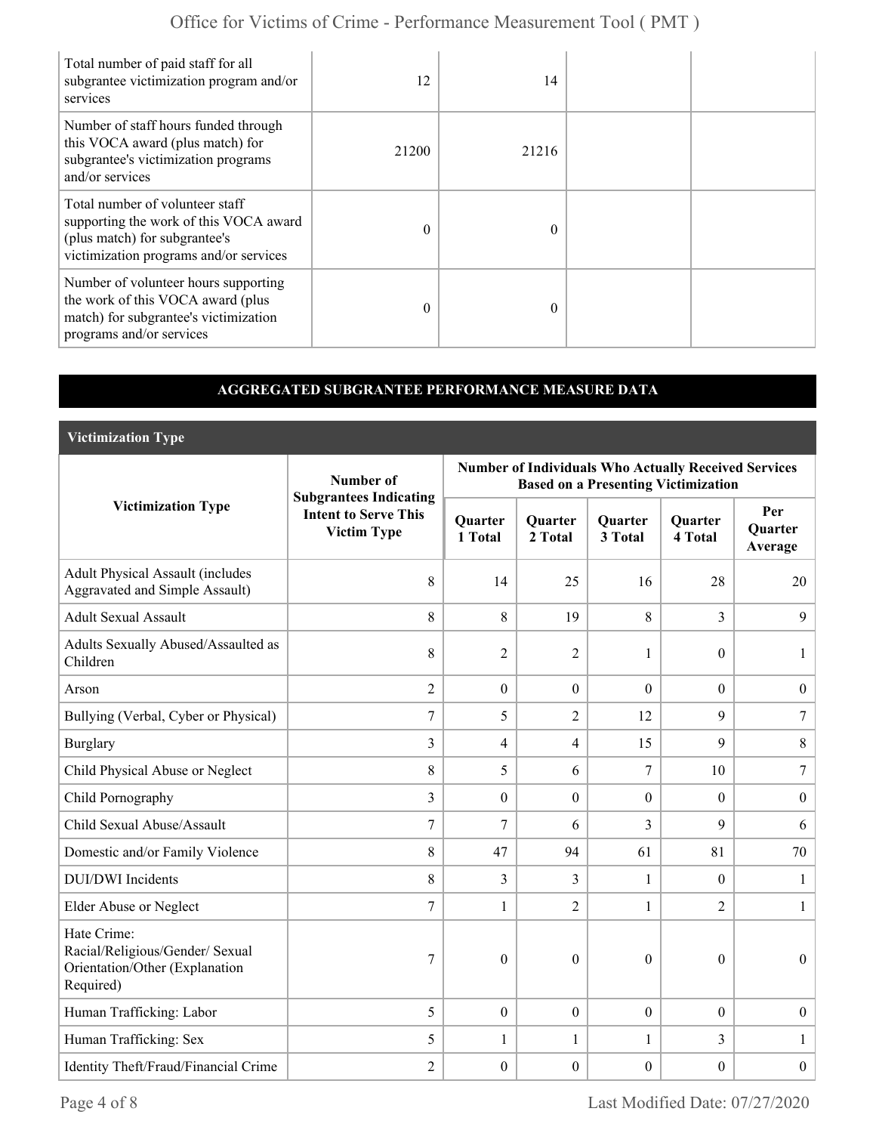| Total number of paid staff for all<br>subgrantee victimization program and/or<br>services                                                            | 12       | 14       |  |
|------------------------------------------------------------------------------------------------------------------------------------------------------|----------|----------|--|
| Number of staff hours funded through<br>this VOCA award (plus match) for<br>subgrantee's victimization programs<br>and/or services                   | 21200    | 21216    |  |
| Total number of volunteer staff<br>supporting the work of this VOCA award<br>(plus match) for subgrantee's<br>victimization programs and/or services | $\theta$ | $\Omega$ |  |
| Number of volunteer hours supporting<br>the work of this VOCA award (plus<br>match) for subgrantee's victimization<br>programs and/or services       | $\theta$ | $\Omega$ |  |

#### **AGGREGATED SUBGRANTEE PERFORMANCE MEASURE DATA**

**Victimization Type**

|                                                                                               | Number of                                                                          | <b>Number of Individuals Who Actually Received Services</b><br><b>Based on a Presenting Victimization</b> |                           |                           |                           |                                  |  |
|-----------------------------------------------------------------------------------------------|------------------------------------------------------------------------------------|-----------------------------------------------------------------------------------------------------------|---------------------------|---------------------------|---------------------------|----------------------------------|--|
| <b>Victimization Type</b>                                                                     | <b>Subgrantees Indicating</b><br><b>Intent to Serve This</b><br><b>Victim Type</b> | <b>Quarter</b><br>1 Total                                                                                 | <b>Quarter</b><br>2 Total | <b>Quarter</b><br>3 Total | <b>Quarter</b><br>4 Total | Per<br><b>Quarter</b><br>Average |  |
| <b>Adult Physical Assault (includes</b><br>Aggravated and Simple Assault)                     | 8                                                                                  | 14                                                                                                        | 25                        | 16                        | 28                        | 20                               |  |
| <b>Adult Sexual Assault</b>                                                                   | 8                                                                                  | 8                                                                                                         | 19                        | 8                         | 3                         | 9                                |  |
| Adults Sexually Abused/Assaulted as<br>Children                                               | 8                                                                                  | $\overline{2}$                                                                                            | $\overline{2}$            | $\mathbf{1}$              | $\theta$                  | 1                                |  |
| Arson                                                                                         | $\overline{2}$                                                                     | $\overline{0}$                                                                                            | $\mathbf{0}$              | $\boldsymbol{0}$          | $\overline{0}$            | $\boldsymbol{0}$                 |  |
| Bullying (Verbal, Cyber or Physical)                                                          | $\overline{7}$                                                                     | 5                                                                                                         | $\overline{2}$            | 12                        | 9                         | $\overline{7}$                   |  |
| <b>Burglary</b>                                                                               | $\overline{3}$                                                                     | $\overline{4}$                                                                                            | 4                         | 15                        | 9                         | 8                                |  |
| Child Physical Abuse or Neglect                                                               | 8                                                                                  | 5                                                                                                         | 6                         | $\overline{7}$            | 10 <sup>1</sup>           | 7                                |  |
| Child Pornography                                                                             | $\overline{3}$                                                                     | $\overline{0}$                                                                                            | $\mathbf{0}$              | $\overline{0}$            | $\theta$                  | $\boldsymbol{0}$                 |  |
| Child Sexual Abuse/Assault                                                                    | 7                                                                                  | $\overline{7}$                                                                                            | 6                         | 3                         | 9                         | 6                                |  |
| Domestic and/or Family Violence                                                               | 8                                                                                  | 47                                                                                                        | 94                        | 61                        | 81                        | 70                               |  |
| <b>DUI/DWI</b> Incidents                                                                      | 8                                                                                  | 3                                                                                                         | 3                         | $\mathbf{1}$              | $\theta$                  | $\mathbf{1}$                     |  |
| Elder Abuse or Neglect                                                                        | $\overline{7}$                                                                     | 1                                                                                                         | $\overline{2}$            | $\mathbf{1}$              | 2                         | $\mathbf{1}$                     |  |
| Hate Crime:<br>Racial/Religious/Gender/ Sexual<br>Orientation/Other (Explanation<br>Required) | 7                                                                                  | $\boldsymbol{0}$                                                                                          | $\boldsymbol{0}$          | $\boldsymbol{0}$          | $\boldsymbol{0}$          | $\boldsymbol{0}$                 |  |
| Human Trafficking: Labor                                                                      | 5                                                                                  | $\boldsymbol{0}$                                                                                          | $\mathbf{0}$              | $\boldsymbol{0}$          | $\theta$                  | $\boldsymbol{0}$                 |  |
| Human Trafficking: Sex                                                                        | 5                                                                                  | 1                                                                                                         | 1                         | $\mathbf{1}$              | 3                         | 1                                |  |
| Identity Theft/Fraud/Financial Crime                                                          | $\overline{2}$                                                                     | $\boldsymbol{0}$                                                                                          | $\boldsymbol{0}$          | $\boldsymbol{0}$          | $\boldsymbol{0}$          | $\overline{0}$                   |  |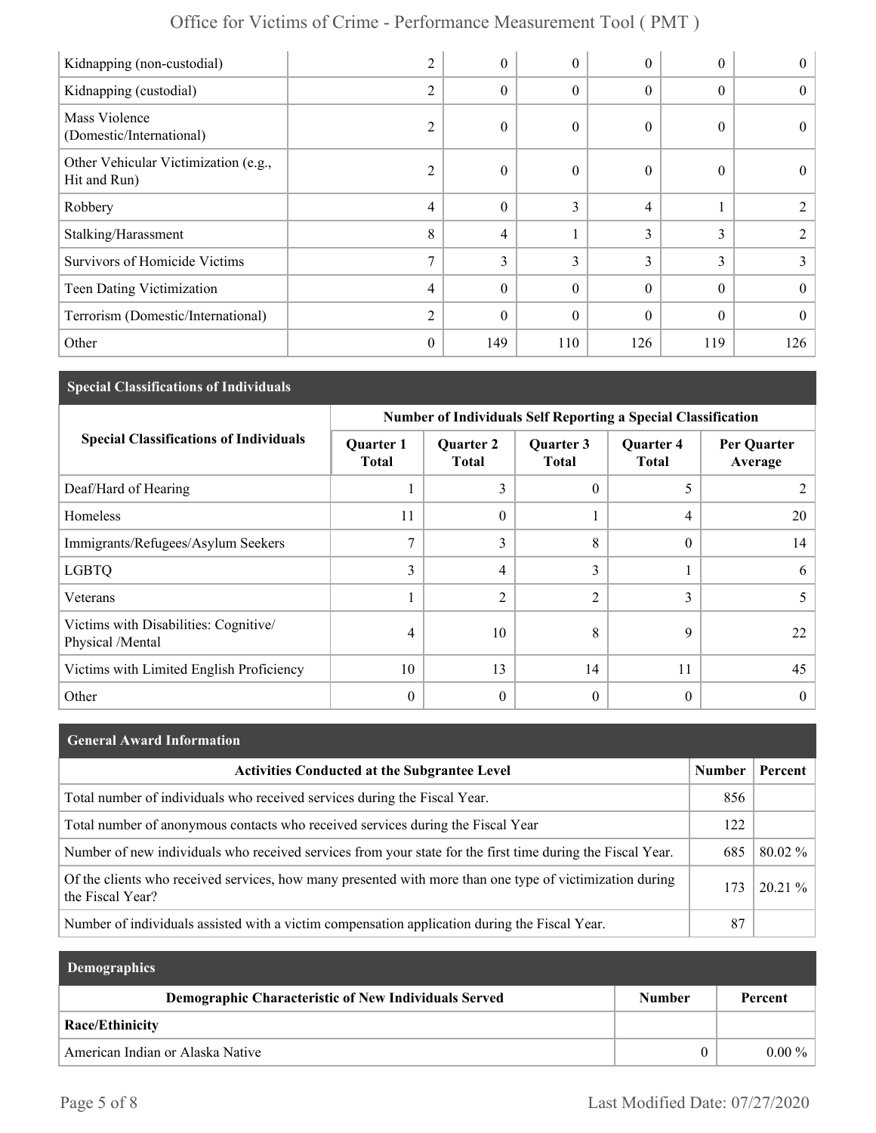| Kidnapping (non-custodial)                           | 2              | $\theta$         | 0                | $\theta$ | $\theta$ | $\theta$       |
|------------------------------------------------------|----------------|------------------|------------------|----------|----------|----------------|
| Kidnapping (custodial)                               | $\overline{2}$ | $\theta$         | 0                | $\theta$ | $\theta$ | $\theta$       |
| Mass Violence<br>(Domestic/International)            | $\overline{2}$ | $\boldsymbol{0}$ | 0                | $\theta$ | $\theta$ | $\theta$       |
| Other Vehicular Victimization (e.g.,<br>Hit and Run) | $\overline{2}$ | $\theta$         | $\boldsymbol{0}$ | $\theta$ | $\theta$ | $\theta$       |
| Robbery                                              | 4              | $\theta$         | 3                | 4        |          | 2              |
| Stalking/Harassment                                  | 8              | $\overline{4}$   |                  | 3        | 3        | 2              |
| <b>Survivors of Homicide Victims</b>                 | 7              | 3                | 3                | 3        | 3        | 3              |
| Teen Dating Victimization                            | 4              | $\theta$         | $\theta$         | $\theta$ | $\Omega$ | $\overline{0}$ |
| Terrorism (Domestic/International)                   | $\overline{2}$ | $\theta$         | $\theta$         | $\theta$ | $\Omega$ | $\theta$       |
| Other                                                | $\mathbf{0}$   | 149              | 110              | 126      | 119      | 126            |

# **Special Classifications of Individuals**

|                                                           | <b>Number of Individuals Self Reporting a Special Classification</b> |                                  |                           |                                  |                        |  |
|-----------------------------------------------------------|----------------------------------------------------------------------|----------------------------------|---------------------------|----------------------------------|------------------------|--|
| <b>Special Classifications of Individuals</b>             | <b>Quarter 1</b><br><b>Total</b>                                     | <b>Quarter 2</b><br><b>Total</b> | Quarter 3<br><b>Total</b> | <b>Quarter 4</b><br><b>Total</b> | Per Quarter<br>Average |  |
| Deaf/Hard of Hearing                                      |                                                                      | 3                                | $\Omega$                  | 5                                |                        |  |
| Homeless                                                  | 11                                                                   | $\theta$                         |                           | 4                                | 20                     |  |
| Immigrants/Refugees/Asylum Seekers                        | 7                                                                    | 3                                | 8                         | 0                                | 14                     |  |
| <b>LGBTQ</b>                                              | 3                                                                    | 4                                | 3                         |                                  | 6                      |  |
| Veterans                                                  |                                                                      | $\overline{2}$                   | $\overline{2}$            | 3                                | 5                      |  |
| Victims with Disabilities: Cognitive/<br>Physical /Mental | 4                                                                    | 10                               | 8                         | 9                                | 22                     |  |
| Victims with Limited English Proficiency                  | 10                                                                   | 13                               | 14                        | 11                               | 45                     |  |
| Other                                                     | $\mathbf{0}$                                                         | $\theta$                         | $\Omega$                  | 0                                | 0                      |  |

| <b>General Award Information</b>                                                                                             |               |           |
|------------------------------------------------------------------------------------------------------------------------------|---------------|-----------|
| <b>Activities Conducted at the Subgrantee Level</b>                                                                          | <b>Number</b> | Percent   |
| Total number of individuals who received services during the Fiscal Year.                                                    | 856           |           |
| Total number of anonymous contacts who received services during the Fiscal Year                                              | 122           |           |
| Number of new individuals who received services from your state for the first time during the Fiscal Year.                   | 685           | $80.02\%$ |
| Of the clients who received services, how many presented with more than one type of victimization during<br>the Fiscal Year? | 173           | $20.21\%$ |
| Number of individuals assisted with a victim compensation application during the Fiscal Year.                                | 87            |           |

| <b>Demographics</b>                                  |               |          |
|------------------------------------------------------|---------------|----------|
| Demographic Characteristic of New Individuals Served | <b>Number</b> | Percent  |
| <b>Race/Ethinicity</b>                               |               |          |
| American Indian or Alaska Native                     | $^{(1)}$      | $0.00\%$ |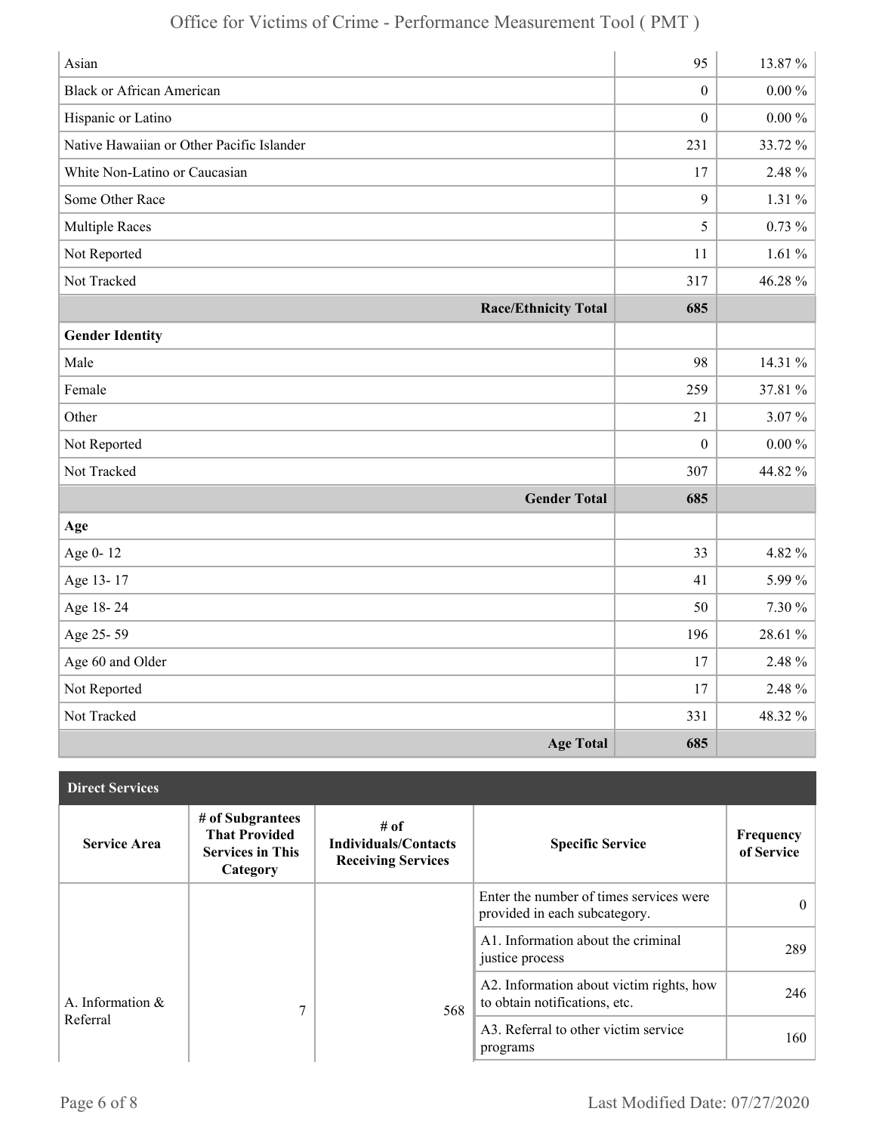| Asian                                     | 95               | 13.87%     |
|-------------------------------------------|------------------|------------|
| <b>Black or African American</b>          | $\boldsymbol{0}$ | $0.00\,\%$ |
| Hispanic or Latino                        | $\boldsymbol{0}$ | $0.00\%$   |
| Native Hawaiian or Other Pacific Islander | 231              | 33.72%     |
| White Non-Latino or Caucasian             | 17               | 2.48 %     |
| Some Other Race                           | 9                | 1.31 $\%$  |
| <b>Multiple Races</b>                     | 5                | $0.73 \%$  |
| Not Reported                              | 11               | 1.61%      |
| Not Tracked                               | 317              | 46.28%     |
| <b>Race/Ethnicity Total</b>               | 685              |            |
| <b>Gender Identity</b>                    |                  |            |
| Male                                      | 98               | 14.31 %    |
| Female                                    | 259              | 37.81 %    |
| Other                                     | 21               | $3.07\%$   |
| Not Reported                              | $\boldsymbol{0}$ | $0.00\,\%$ |
| Not Tracked                               | 307              | 44.82 %    |
| <b>Gender Total</b>                       | 685              |            |
| Age                                       |                  |            |
| Age 0-12                                  | 33               | 4.82 %     |
| Age 13-17                                 | 41               | 5.99%      |
| Age 18-24                                 | 50               | 7.30 %     |
| Age 25-59                                 | 196              | 28.61 %    |
| Age 60 and Older                          | 17               | 2.48 %     |
| Not Reported                              | 17               | 2.48 %     |
| Not Tracked                               | 331              | 48.32 %    |
| <b>Age Total</b>                          | 685              |            |

| <b>Direct Services</b> |                                                                                 |                                                                  |                                                                           |                         |
|------------------------|---------------------------------------------------------------------------------|------------------------------------------------------------------|---------------------------------------------------------------------------|-------------------------|
| <b>Service Area</b>    | # of Subgrantees<br><b>That Provided</b><br><b>Services in This</b><br>Category | # of<br><b>Individuals/Contacts</b><br><b>Receiving Services</b> | <b>Specific Service</b>                                                   | Frequency<br>of Service |
|                        |                                                                                 |                                                                  | Enter the number of times services were<br>provided in each subcategory.  | $\theta$                |
|                        |                                                                                 |                                                                  | A1. Information about the criminal<br>justice process                     | 289                     |
| A. Information $\&$    | 7                                                                               | 568                                                              | A2. Information about victim rights, how<br>to obtain notifications, etc. | 246                     |
| Referral               |                                                                                 |                                                                  | A3. Referral to other victim service<br>programs                          | 160                     |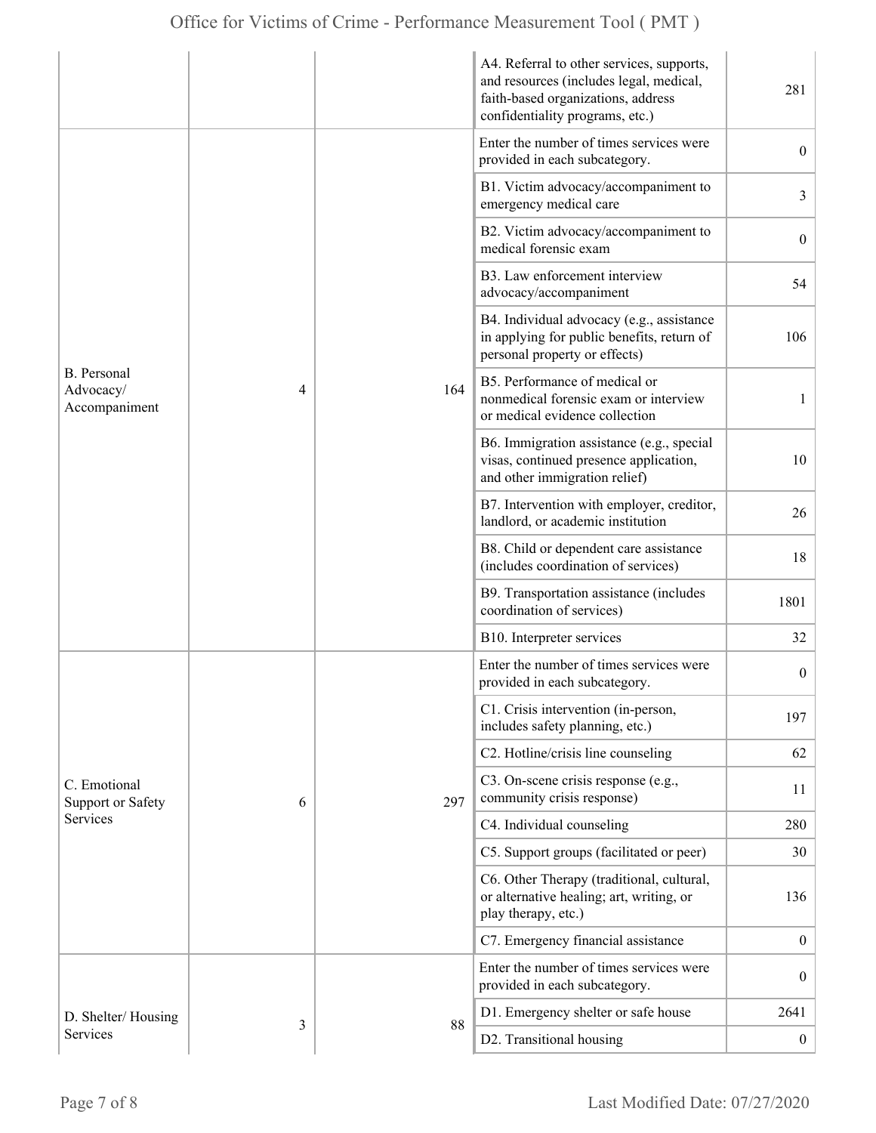|                                                  |   |     | A4. Referral to other services, supports,<br>and resources (includes legal, medical,<br>faith-based organizations, address<br>confidentiality programs, etc.) | 281              |
|--------------------------------------------------|---|-----|---------------------------------------------------------------------------------------------------------------------------------------------------------------|------------------|
| <b>B.</b> Personal<br>Advocacy/<br>Accompaniment |   |     | Enter the number of times services were<br>provided in each subcategory.                                                                                      | $\boldsymbol{0}$ |
|                                                  |   |     | B1. Victim advocacy/accompaniment to<br>emergency medical care                                                                                                | 3                |
|                                                  |   |     | B2. Victim advocacy/accompaniment to<br>medical forensic exam                                                                                                 | $\boldsymbol{0}$ |
|                                                  |   |     | B3. Law enforcement interview<br>advocacy/accompaniment                                                                                                       | 54               |
|                                                  |   |     | B4. Individual advocacy (e.g., assistance<br>in applying for public benefits, return of<br>personal property or effects)                                      | 106              |
|                                                  | 4 | 164 | B5. Performance of medical or<br>nonmedical forensic exam or interview<br>or medical evidence collection                                                      | 1                |
|                                                  |   |     | B6. Immigration assistance (e.g., special<br>visas, continued presence application,<br>and other immigration relief)                                          | 10               |
|                                                  |   |     | B7. Intervention with employer, creditor,<br>landlord, or academic institution                                                                                | 26               |
|                                                  |   |     | B8. Child or dependent care assistance<br>(includes coordination of services)                                                                                 | 18               |
|                                                  |   |     | B9. Transportation assistance (includes<br>coordination of services)                                                                                          | 1801             |
|                                                  |   |     | B10. Interpreter services                                                                                                                                     | 32               |
|                                                  |   |     | Enter the number of times services were<br>provided in each subcategory.                                                                                      | $\boldsymbol{0}$ |
|                                                  |   |     | C1. Crisis intervention (in-person,<br>includes safety planning, etc.)                                                                                        | 197              |
|                                                  |   |     | C2. Hotline/crisis line counseling                                                                                                                            | 62               |
| C. Emotional<br><b>Support or Safety</b>         | 6 | 297 | C3. On-scene crisis response (e.g.,<br>community crisis response)                                                                                             | 11               |
| Services                                         |   |     | C4. Individual counseling                                                                                                                                     | 280              |
|                                                  |   |     | C5. Support groups (facilitated or peer)                                                                                                                      | 30               |
|                                                  |   |     | C6. Other Therapy (traditional, cultural,<br>or alternative healing; art, writing, or<br>play therapy, etc.)                                                  | 136              |
|                                                  |   |     | C7. Emergency financial assistance                                                                                                                            | $\boldsymbol{0}$ |
|                                                  | 3 | 88  | Enter the number of times services were<br>provided in each subcategory.                                                                                      | $\boldsymbol{0}$ |
| D. Shelter/Housing                               |   |     | D1. Emergency shelter or safe house                                                                                                                           | 2641             |
| Services                                         |   |     | D2. Transitional housing                                                                                                                                      | $\boldsymbol{0}$ |